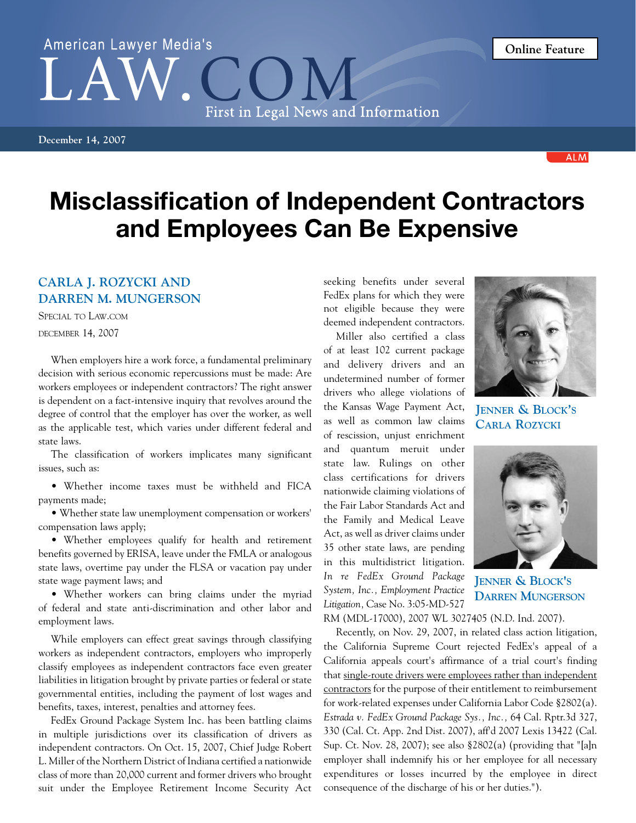**December 14, 2007**

## Misclassification of Independent Contractors and Employees Can Be Expensive

First in Legal News and Information

## **Carla J. Rozycki and Darren M. Mungerson**

American Lawyer Media's

Special to Law.com

december 14, 2007

When employers hire a work force, a fundamental preliminary decision with serious economic repercussions must be made: Are workers employees or independent contractors? The right answer is dependent on a fact-intensive inquiry that revolves around the degree of control that the employer has over the worker, as well as the applicable test, which varies under different federal and state laws.

The classification of workers implicates many significant issues, such as:

• Whether income taxes must be withheld and FICA payments made;

• Whether state law unemployment compensation or workers' compensation laws apply;

• Whether employees qualify for health and retirement benefits governed by ERISA, leave under the FMLA or analogous state laws, overtime pay under the FLSA or vacation pay under state wage payment laws; and

• Whether workers can bring claims under the myriad of federal and state anti-discrimination and other labor and employment laws.

While employers can effect great savings through classifying workers as independent contractors, employers who improperly classify employees as independent contractors face even greater liabilities in litigation brought by private parties or federal or state governmental entities, including the payment of lost wages and benefits, taxes, interest, penalties and attorney fees.

FedEx Ground Package System Inc. has been battling claims in multiple jurisdictions over its classification of drivers as independent contractors. On Oct. 15, 2007, Chief Judge Robert L. Miller of the Northern District of Indiana certified a nationwide class of more than 20,000 current and former drivers who brought suit under the Employee Retirement Income Security Act

seeking benefits under several FedEx plans for which they were not eligible because they were deemed independent contractors.

Miller also certified a class of at least 102 current package and delivery drivers and an undetermined number of former drivers who allege violations of the Kansas Wage Payment Act, as well as common law claims of rescission, unjust enrichment and quantum meruit under state law. Rulings on other class certifications for drivers nationwide claiming violations of the Fair Labor Standards Act and the Family and Medical Leave Act, as well as driver claims under 35 other state laws, are pending in this multidistrict litigation. *In re FedEx Ground Package System, Inc., Employment Practice Litigation,* Case No. 3:05-MD-527

**Jenner & Block's Carla Rozycki**

**Jenner & Block's Darren Mungerson**

RM (MDL-17000), 2007 WL 3027405 (N.D. Ind. 2007).

Recently, on Nov. 29, 2007, in related class action litigation, the California Supreme Court rejected FedEx's appeal of a California appeals court's affirmance of a trial court's finding that single-route drivers were employees rather than independent contractors for the purpose of their entitlement to reimbursement for work-related expenses under California Labor Code §2802(a). *Estrada v. FedEx Ground Package Sys., Inc.,* 64 Cal. Rptr.3d 327, 330 (Cal. Ct. App. 2nd Dist. 2007), aff'd 2007 Lexis 13422 (Cal. Sup. Ct. Nov. 28, 2007); see also §2802(a) (providing that "[a]n employer shall indemnify his or her employee for all necessary expenditures or losses incurred by the employee in direct consequence of the discharge of his or her duties.").

**Online Feature**





**ALM**